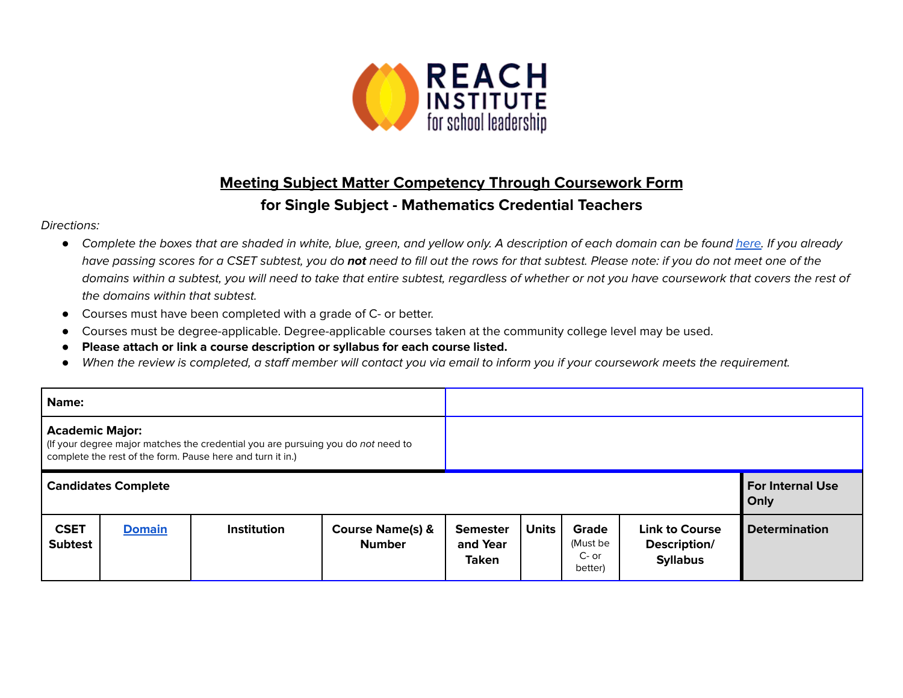

## **Meeting Subject Matter Competency Through Coursework Form for Single Subject - Mathematics Credential Teachers**

## Directions:

- Complete the boxes that are shaded in white, blue, green, and yellow only. A description of each domain can be found [here.](https://www.ctc.ca.gov/docs/default-source/educator-prep/files/domains-of-subject-matter-requirements.pdf?sfvrsn=dcd525b1_2) If you already have passing scores for a CSET subtest, you do **not** need to fill out the rows for that subtest. Please note: if you do not meet one of the domains within a subtest, you will need to take that entire subtest, regardless of whether or not you have coursework that covers the rest of the domains within that subtest.
- *●* Courses must have been completed with a grade of C- or better.
- Courses must be degree-applicable. Degree-applicable courses taken at the community college level may be used.
- *●* **Please attach or link a course description or syllabus for each course listed.**
- *●* When the review is completed, a staff member will contact you via email to inform you if your coursework meets the requirement.

| Name:                                                                                                                                                                    |               |                    |                                              |                                             |                                 |                                       |                                                          |                      |
|--------------------------------------------------------------------------------------------------------------------------------------------------------------------------|---------------|--------------------|----------------------------------------------|---------------------------------------------|---------------------------------|---------------------------------------|----------------------------------------------------------|----------------------|
| <b>Academic Major:</b><br>(If your degree major matches the credential you are pursuing you do not need to<br>complete the rest of the form. Pause here and turn it in.) |               |                    |                                              |                                             |                                 |                                       |                                                          |                      |
| <b>Candidates Complete</b>                                                                                                                                               |               |                    |                                              |                                             | <b>For Internal Use</b><br>Only |                                       |                                                          |                      |
| <b>CSET</b><br><b>Subtest</b>                                                                                                                                            | <b>Domain</b> | <b>Institution</b> | <b>Course Name(s) &amp;</b><br><b>Number</b> | <b>Semester</b><br>and Year<br><b>Taken</b> | <b>Units</b>                    | Grade<br>(Must be<br>C- or<br>better) | <b>Link to Course</b><br>Description/<br><b>Syllabus</b> | <b>Determination</b> |